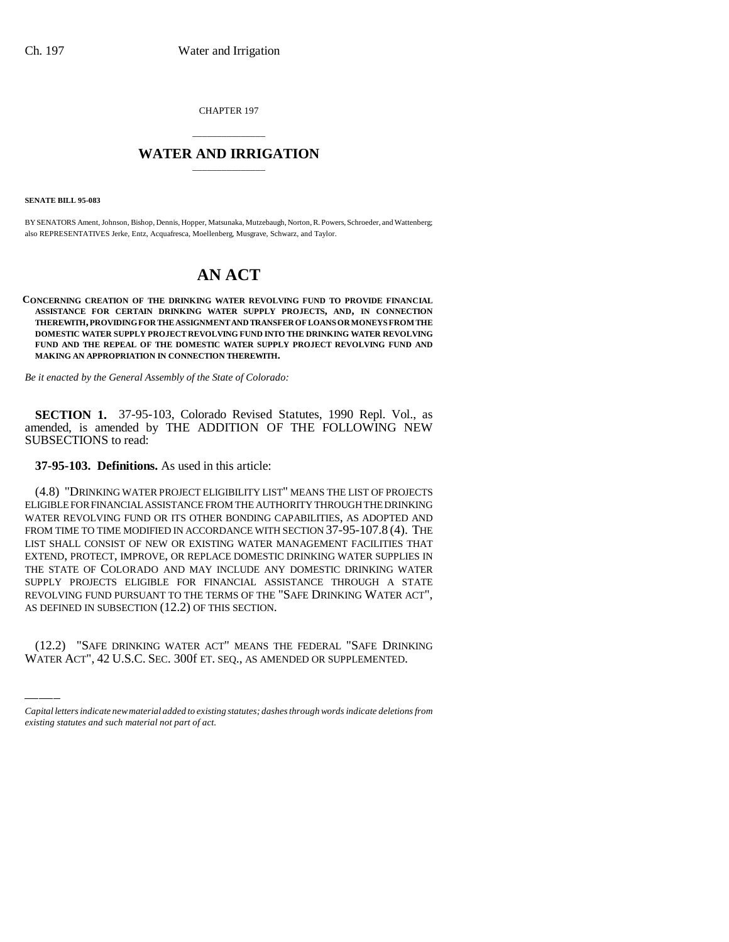CHAPTER 197

## \_\_\_\_\_\_\_\_\_\_\_\_\_\_\_ **WATER AND IRRIGATION** \_\_\_\_\_\_\_\_\_\_\_\_\_\_\_

**SENATE BILL 95-083**

BY SENATORS Ament, Johnson, Bishop, Dennis, Hopper, Matsunaka, Mutzebaugh, Norton, R. Powers, Schroeder, and Wattenberg; also REPRESENTATIVES Jerke, Entz, Acquafresca, Moellenberg, Musgrave, Schwarz, and Taylor.

# **AN ACT**

**CONCERNING CREATION OF THE DRINKING WATER REVOLVING FUND TO PROVIDE FINANCIAL ASSISTANCE FOR CERTAIN DRINKING WATER SUPPLY PROJECTS, AND, IN CONNECTION THEREWITH, PROVIDING FOR THE ASSIGNMENT AND TRANSFER OF LOANS OR MONEYS FROM THE DOMESTIC WATER SUPPLY PROJECT REVOLVING FUND INTO THE DRINKING WATER REVOLVING FUND AND THE REPEAL OF THE DOMESTIC WATER SUPPLY PROJECT REVOLVING FUND AND MAKING AN APPROPRIATION IN CONNECTION THEREWITH.**

*Be it enacted by the General Assembly of the State of Colorado:*

**SECTION 1.** 37-95-103, Colorado Revised Statutes, 1990 Repl. Vol., as amended, is amended by THE ADDITION OF THE FOLLOWING NEW SUBSECTIONS to read:

### **37-95-103. Definitions.** As used in this article:

AS DEFINED IN SUBSECTION (12.2) OF THIS SECTION. (4.8) "DRINKING WATER PROJECT ELIGIBILITY LIST" MEANS THE LIST OF PROJECTS ELIGIBLE FOR FINANCIAL ASSISTANCE FROM THE AUTHORITY THROUGH THE DRINKING WATER REVOLVING FUND OR ITS OTHER BONDING CAPABILITIES, AS ADOPTED AND FROM TIME TO TIME MODIFIED IN ACCORDANCE WITH SECTION 37-95-107.8 (4). THE LIST SHALL CONSIST OF NEW OR EXISTING WATER MANAGEMENT FACILITIES THAT EXTEND, PROTECT, IMPROVE, OR REPLACE DOMESTIC DRINKING WATER SUPPLIES IN THE STATE OF COLORADO AND MAY INCLUDE ANY DOMESTIC DRINKING WATER SUPPLY PROJECTS ELIGIBLE FOR FINANCIAL ASSISTANCE THROUGH A STATE REVOLVING FUND PURSUANT TO THE TERMS OF THE "SAFE DRINKING WATER ACT",

(12.2) "SAFE DRINKING WATER ACT" MEANS THE FEDERAL "SAFE DRINKING WATER ACT", 42 U.S.C. SEC. 300f ET. SEQ., AS AMENDED OR SUPPLEMENTED.

*Capital letters indicate new material added to existing statutes; dashes through words indicate deletions from existing statutes and such material not part of act.*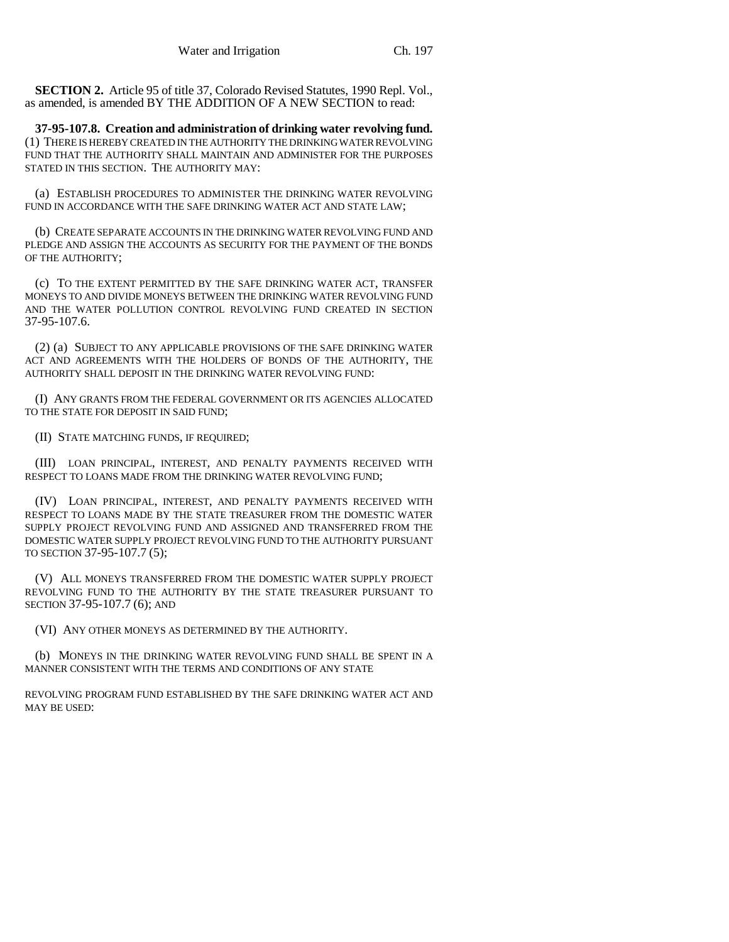**SECTION 2.** Article 95 of title 37, Colorado Revised Statutes, 1990 Repl. Vol., as amended, is amended BY THE ADDITION OF A NEW SECTION to read:

**37-95-107.8. Creation and administration of drinking water revolving fund.** (1) THERE IS HEREBY CREATED IN THE AUTHORITY THE DRINKING WATER REVOLVING FUND THAT THE AUTHORITY SHALL MAINTAIN AND ADMINISTER FOR THE PURPOSES STATED IN THIS SECTION. THE AUTHORITY MAY:

(a) ESTABLISH PROCEDURES TO ADMINISTER THE DRINKING WATER REVOLVING FUND IN ACCORDANCE WITH THE SAFE DRINKING WATER ACT AND STATE LAW;

(b) CREATE SEPARATE ACCOUNTS IN THE DRINKING WATER REVOLVING FUND AND PLEDGE AND ASSIGN THE ACCOUNTS AS SECURITY FOR THE PAYMENT OF THE BONDS OF THE AUTHORITY;

(c) TO THE EXTENT PERMITTED BY THE SAFE DRINKING WATER ACT, TRANSFER MONEYS TO AND DIVIDE MONEYS BETWEEN THE DRINKING WATER REVOLVING FUND AND THE WATER POLLUTION CONTROL REVOLVING FUND CREATED IN SECTION 37-95-107.6.

(2) (a) SUBJECT TO ANY APPLICABLE PROVISIONS OF THE SAFE DRINKING WATER ACT AND AGREEMENTS WITH THE HOLDERS OF BONDS OF THE AUTHORITY, THE AUTHORITY SHALL DEPOSIT IN THE DRINKING WATER REVOLVING FUND:

(I) ANY GRANTS FROM THE FEDERAL GOVERNMENT OR ITS AGENCIES ALLOCATED TO THE STATE FOR DEPOSIT IN SAID FUND;

(II) STATE MATCHING FUNDS, IF REQUIRED;

(III) LOAN PRINCIPAL, INTEREST, AND PENALTY PAYMENTS RECEIVED WITH RESPECT TO LOANS MADE FROM THE DRINKING WATER REVOLVING FUND;

(IV) LOAN PRINCIPAL, INTEREST, AND PENALTY PAYMENTS RECEIVED WITH RESPECT TO LOANS MADE BY THE STATE TREASURER FROM THE DOMESTIC WATER SUPPLY PROJECT REVOLVING FUND AND ASSIGNED AND TRANSFERRED FROM THE DOMESTIC WATER SUPPLY PROJECT REVOLVING FUND TO THE AUTHORITY PURSUANT TO SECTION 37-95-107.7 (5);

(V) ALL MONEYS TRANSFERRED FROM THE DOMESTIC WATER SUPPLY PROJECT REVOLVING FUND TO THE AUTHORITY BY THE STATE TREASURER PURSUANT TO SECTION 37-95-107.7 (6); AND

(VI) ANY OTHER MONEYS AS DETERMINED BY THE AUTHORITY.

(b) MONEYS IN THE DRINKING WATER REVOLVING FUND SHALL BE SPENT IN A MANNER CONSISTENT WITH THE TERMS AND CONDITIONS OF ANY STATE

REVOLVING PROGRAM FUND ESTABLISHED BY THE SAFE DRINKING WATER ACT AND MAY BE USED: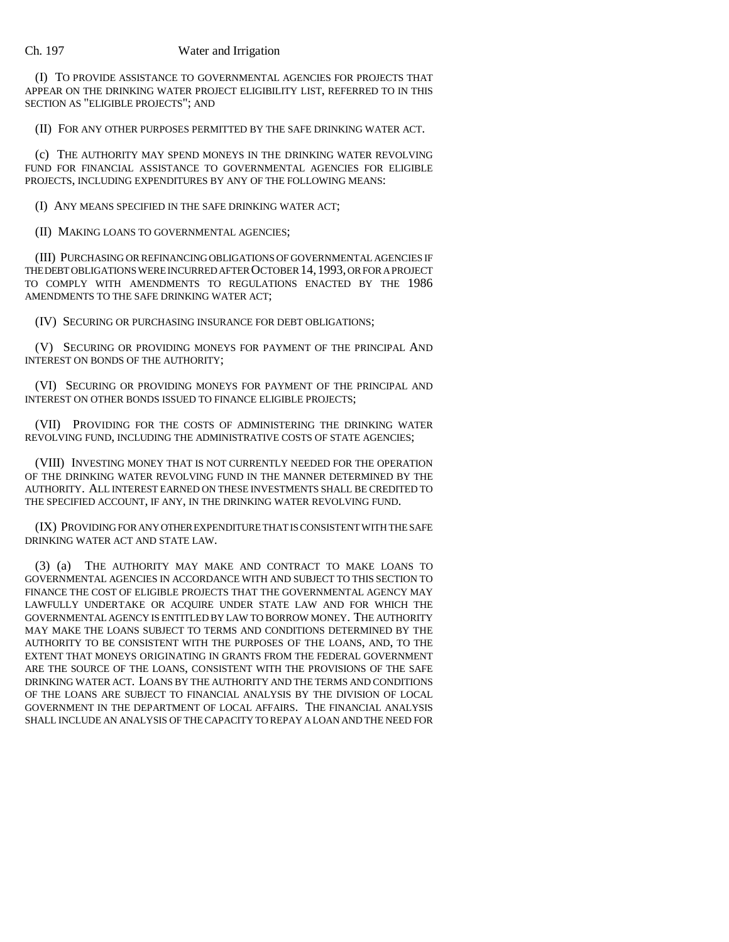#### Ch. 197 Water and Irrigation

(I) TO PROVIDE ASSISTANCE TO GOVERNMENTAL AGENCIES FOR PROJECTS THAT APPEAR ON THE DRINKING WATER PROJECT ELIGIBILITY LIST, REFERRED TO IN THIS SECTION AS "ELIGIBLE PROJECTS"; AND

(II) FOR ANY OTHER PURPOSES PERMITTED BY THE SAFE DRINKING WATER ACT.

(c) THE AUTHORITY MAY SPEND MONEYS IN THE DRINKING WATER REVOLVING FUND FOR FINANCIAL ASSISTANCE TO GOVERNMENTAL AGENCIES FOR ELIGIBLE PROJECTS, INCLUDING EXPENDITURES BY ANY OF THE FOLLOWING MEANS:

(I) ANY MEANS SPECIFIED IN THE SAFE DRINKING WATER ACT;

(II) MAKING LOANS TO GOVERNMENTAL AGENCIES;

(III) PURCHASING OR REFINANCING OBLIGATIONS OF GOVERNMENTAL AGENCIES IF THE DEBT OBLIGATIONS WERE INCURRED AFTER OCTOBER 14,1993, OR FOR A PROJECT TO COMPLY WITH AMENDMENTS TO REGULATIONS ENACTED BY THE 1986 AMENDMENTS TO THE SAFE DRINKING WATER ACT;

(IV) SECURING OR PURCHASING INSURANCE FOR DEBT OBLIGATIONS;

(V) SECURING OR PROVIDING MONEYS FOR PAYMENT OF THE PRINCIPAL AND INTEREST ON BONDS OF THE AUTHORITY;

(VI) SECURING OR PROVIDING MONEYS FOR PAYMENT OF THE PRINCIPAL AND INTEREST ON OTHER BONDS ISSUED TO FINANCE ELIGIBLE PROJECTS;

(VII) PROVIDING FOR THE COSTS OF ADMINISTERING THE DRINKING WATER REVOLVING FUND, INCLUDING THE ADMINISTRATIVE COSTS OF STATE AGENCIES;

(VIII) INVESTING MONEY THAT IS NOT CURRENTLY NEEDED FOR THE OPERATION OF THE DRINKING WATER REVOLVING FUND IN THE MANNER DETERMINED BY THE AUTHORITY. ALL INTEREST EARNED ON THESE INVESTMENTS SHALL BE CREDITED TO THE SPECIFIED ACCOUNT, IF ANY, IN THE DRINKING WATER REVOLVING FUND.

(IX) PROVIDING FOR ANY OTHER EXPENDITURE THAT IS CONSISTENT WITH THE SAFE DRINKING WATER ACT AND STATE LAW.

(3) (a) THE AUTHORITY MAY MAKE AND CONTRACT TO MAKE LOANS TO GOVERNMENTAL AGENCIES IN ACCORDANCE WITH AND SUBJECT TO THIS SECTION TO FINANCE THE COST OF ELIGIBLE PROJECTS THAT THE GOVERNMENTAL AGENCY MAY LAWFULLY UNDERTAKE OR ACQUIRE UNDER STATE LAW AND FOR WHICH THE GOVERNMENTAL AGENCY IS ENTITLED BY LAW TO BORROW MONEY. THE AUTHORITY MAY MAKE THE LOANS SUBJECT TO TERMS AND CONDITIONS DETERMINED BY THE AUTHORITY TO BE CONSISTENT WITH THE PURPOSES OF THE LOANS, AND, TO THE EXTENT THAT MONEYS ORIGINATING IN GRANTS FROM THE FEDERAL GOVERNMENT ARE THE SOURCE OF THE LOANS, CONSISTENT WITH THE PROVISIONS OF THE SAFE DRINKING WATER ACT. LOANS BY THE AUTHORITY AND THE TERMS AND CONDITIONS OF THE LOANS ARE SUBJECT TO FINANCIAL ANALYSIS BY THE DIVISION OF LOCAL GOVERNMENT IN THE DEPARTMENT OF LOCAL AFFAIRS. THE FINANCIAL ANALYSIS SHALL INCLUDE AN ANALYSIS OF THE CAPACITY TO REPAY A LOAN AND THE NEED FOR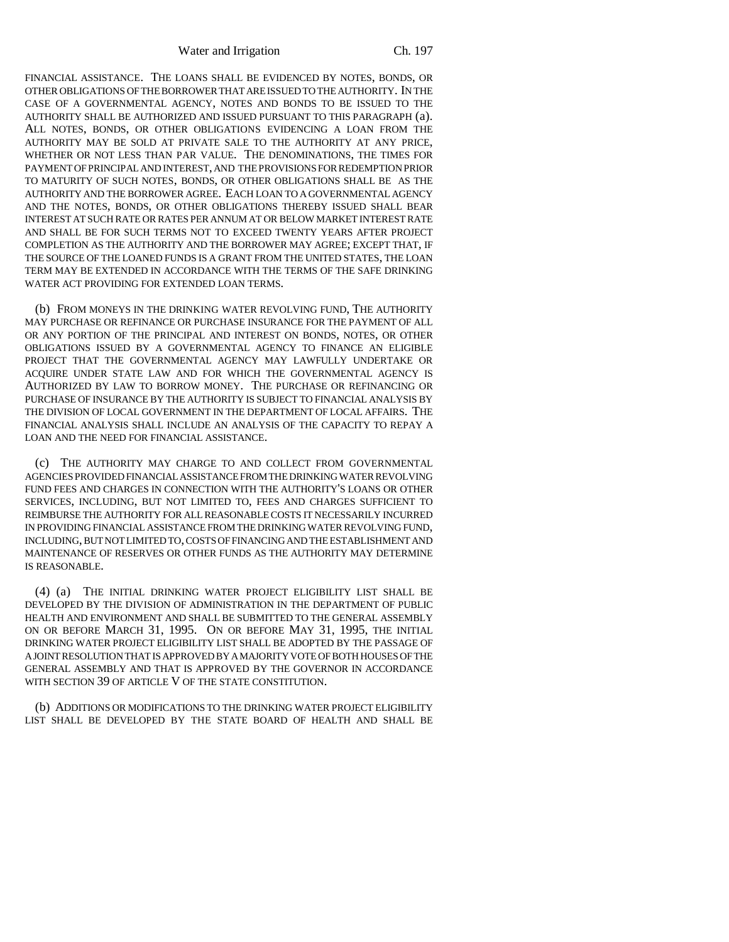Water and Irrigation Ch. 197

FINANCIAL ASSISTANCE. THE LOANS SHALL BE EVIDENCED BY NOTES, BONDS, OR OTHER OBLIGATIONS OF THE BORROWER THAT ARE ISSUED TO THE AUTHORITY. IN THE CASE OF A GOVERNMENTAL AGENCY, NOTES AND BONDS TO BE ISSUED TO THE AUTHORITY SHALL BE AUTHORIZED AND ISSUED PURSUANT TO THIS PARAGRAPH (a). ALL NOTES, BONDS, OR OTHER OBLIGATIONS EVIDENCING A LOAN FROM THE AUTHORITY MAY BE SOLD AT PRIVATE SALE TO THE AUTHORITY AT ANY PRICE, WHETHER OR NOT LESS THAN PAR VALUE. THE DENOMINATIONS, THE TIMES FOR PAYMENT OF PRINCIPAL AND INTEREST, AND THE PROVISIONS FOR REDEMPTION PRIOR TO MATURITY OF SUCH NOTES, BONDS, OR OTHER OBLIGATIONS SHALL BE AS THE AUTHORITY AND THE BORROWER AGREE. EACH LOAN TO A GOVERNMENTAL AGENCY AND THE NOTES, BONDS, OR OTHER OBLIGATIONS THEREBY ISSUED SHALL BEAR INTEREST AT SUCH RATE OR RATES PER ANNUM AT OR BELOW MARKET INTEREST RATE AND SHALL BE FOR SUCH TERMS NOT TO EXCEED TWENTY YEARS AFTER PROJECT COMPLETION AS THE AUTHORITY AND THE BORROWER MAY AGREE; EXCEPT THAT, IF THE SOURCE OF THE LOANED FUNDS IS A GRANT FROM THE UNITED STATES, THE LOAN TERM MAY BE EXTENDED IN ACCORDANCE WITH THE TERMS OF THE SAFE DRINKING WATER ACT PROVIDING FOR EXTENDED LOAN TERMS.

(b) FROM MONEYS IN THE DRINKING WATER REVOLVING FUND, THE AUTHORITY MAY PURCHASE OR REFINANCE OR PURCHASE INSURANCE FOR THE PAYMENT OF ALL OR ANY PORTION OF THE PRINCIPAL AND INTEREST ON BONDS, NOTES, OR OTHER OBLIGATIONS ISSUED BY A GOVERNMENTAL AGENCY TO FINANCE AN ELIGIBLE PROJECT THAT THE GOVERNMENTAL AGENCY MAY LAWFULLY UNDERTAKE OR ACQUIRE UNDER STATE LAW AND FOR WHICH THE GOVERNMENTAL AGENCY IS AUTHORIZED BY LAW TO BORROW MONEY. THE PURCHASE OR REFINANCING OR PURCHASE OF INSURANCE BY THE AUTHORITY IS SUBJECT TO FINANCIAL ANALYSIS BY THE DIVISION OF LOCAL GOVERNMENT IN THE DEPARTMENT OF LOCAL AFFAIRS. THE FINANCIAL ANALYSIS SHALL INCLUDE AN ANALYSIS OF THE CAPACITY TO REPAY A LOAN AND THE NEED FOR FINANCIAL ASSISTANCE.

(c) THE AUTHORITY MAY CHARGE TO AND COLLECT FROM GOVERNMENTAL AGENCIES PROVIDED FINANCIAL ASSISTANCE FROM THE DRINKING WATER REVOLVING FUND FEES AND CHARGES IN CONNECTION WITH THE AUTHORITY'S LOANS OR OTHER SERVICES, INCLUDING, BUT NOT LIMITED TO, FEES AND CHARGES SUFFICIENT TO REIMBURSE THE AUTHORITY FOR ALL REASONABLE COSTS IT NECESSARILY INCURRED IN PROVIDING FINANCIAL ASSISTANCE FROM THE DRINKING WATER REVOLVING FUND, INCLUDING, BUT NOT LIMITED TO, COSTS OF FINANCING AND THE ESTABLISHMENT AND MAINTENANCE OF RESERVES OR OTHER FUNDS AS THE AUTHORITY MAY DETERMINE IS REASONABLE.

(4) (a) THE INITIAL DRINKING WATER PROJECT ELIGIBILITY LIST SHALL BE DEVELOPED BY THE DIVISION OF ADMINISTRATION IN THE DEPARTMENT OF PUBLIC HEALTH AND ENVIRONMENT AND SHALL BE SUBMITTED TO THE GENERAL ASSEMBLY ON OR BEFORE MARCH 31, 1995. ON OR BEFORE MAY 31, 1995, THE INITIAL DRINKING WATER PROJECT ELIGIBILITY LIST SHALL BE ADOPTED BY THE PASSAGE OF A JOINT RESOLUTION THAT IS APPROVED BY A MAJORITY VOTE OF BOTH HOUSES OF THE GENERAL ASSEMBLY AND THAT IS APPROVED BY THE GOVERNOR IN ACCORDANCE WITH SECTION 39 OF ARTICLE V OF THE STATE CONSTITUTION.

(b) ADDITIONS OR MODIFICATIONS TO THE DRINKING WATER PROJECT ELIGIBILITY LIST SHALL BE DEVELOPED BY THE STATE BOARD OF HEALTH AND SHALL BE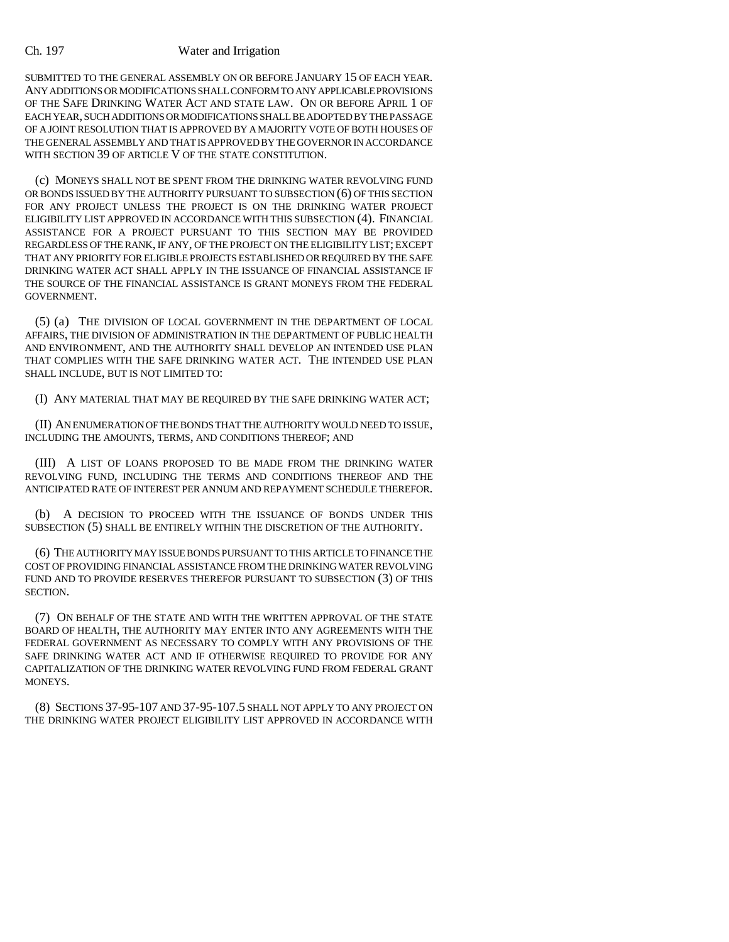#### Ch. 197 Water and Irrigation

SUBMITTED TO THE GENERAL ASSEMBLY ON OR BEFORE JANUARY 15 OF EACH YEAR. ANY ADDITIONS OR MODIFICATIONS SHALL CONFORM TO ANY APPLICABLE PROVISIONS OF THE SAFE DRINKING WATER ACT AND STATE LAW. ON OR BEFORE APRIL 1 OF EACH YEAR, SUCH ADDITIONS OR MODIFICATIONS SHALL BE ADOPTED BY THE PASSAGE OF A JOINT RESOLUTION THAT IS APPROVED BY A MAJORITY VOTE OF BOTH HOUSES OF THE GENERAL ASSEMBLY AND THAT IS APPROVED BY THE GOVERNOR IN ACCORDANCE WITH SECTION 39 OF ARTICLE V OF THE STATE CONSTITUTION.

(c) MONEYS SHALL NOT BE SPENT FROM THE DRINKING WATER REVOLVING FUND OR BONDS ISSUED BY THE AUTHORITY PURSUANT TO SUBSECTION (6) OF THIS SECTION FOR ANY PROJECT UNLESS THE PROJECT IS ON THE DRINKING WATER PROJECT ELIGIBILITY LIST APPROVED IN ACCORDANCE WITH THIS SUBSECTION (4). FINANCIAL ASSISTANCE FOR A PROJECT PURSUANT TO THIS SECTION MAY BE PROVIDED REGARDLESS OF THE RANK, IF ANY, OF THE PROJECT ON THE ELIGIBILITY LIST; EXCEPT THAT ANY PRIORITY FOR ELIGIBLE PROJECTS ESTABLISHED OR REQUIRED BY THE SAFE DRINKING WATER ACT SHALL APPLY IN THE ISSUANCE OF FINANCIAL ASSISTANCE IF THE SOURCE OF THE FINANCIAL ASSISTANCE IS GRANT MONEYS FROM THE FEDERAL GOVERNMENT.

(5) (a) THE DIVISION OF LOCAL GOVERNMENT IN THE DEPARTMENT OF LOCAL AFFAIRS, THE DIVISION OF ADMINISTRATION IN THE DEPARTMENT OF PUBLIC HEALTH AND ENVIRONMENT, AND THE AUTHORITY SHALL DEVELOP AN INTENDED USE PLAN THAT COMPLIES WITH THE SAFE DRINKING WATER ACT. THE INTENDED USE PLAN SHALL INCLUDE, BUT IS NOT LIMITED TO:

(I) ANY MATERIAL THAT MAY BE REQUIRED BY THE SAFE DRINKING WATER ACT;

(II) AN ENUMERATION OF THE BONDS THAT THE AUTHORITY WOULD NEED TO ISSUE, INCLUDING THE AMOUNTS, TERMS, AND CONDITIONS THEREOF; AND

(III) A LIST OF LOANS PROPOSED TO BE MADE FROM THE DRINKING WATER REVOLVING FUND, INCLUDING THE TERMS AND CONDITIONS THEREOF AND THE ANTICIPATED RATE OF INTEREST PER ANNUM AND REPAYMENT SCHEDULE THEREFOR.

(b) A DECISION TO PROCEED WITH THE ISSUANCE OF BONDS UNDER THIS SUBSECTION (5) SHALL BE ENTIRELY WITHIN THE DISCRETION OF THE AUTHORITY.

(6) THE AUTHORITY MAY ISSUE BONDS PURSUANT TO THIS ARTICLE TO FINANCE THE COST OF PROVIDING FINANCIAL ASSISTANCE FROM THE DRINKING WATER REVOLVING FUND AND TO PROVIDE RESERVES THEREFOR PURSUANT TO SUBSECTION (3) OF THIS SECTION.

(7) ON BEHALF OF THE STATE AND WITH THE WRITTEN APPROVAL OF THE STATE BOARD OF HEALTH, THE AUTHORITY MAY ENTER INTO ANY AGREEMENTS WITH THE FEDERAL GOVERNMENT AS NECESSARY TO COMPLY WITH ANY PROVISIONS OF THE SAFE DRINKING WATER ACT AND IF OTHERWISE REQUIRED TO PROVIDE FOR ANY CAPITALIZATION OF THE DRINKING WATER REVOLVING FUND FROM FEDERAL GRANT MONEYS.

(8) SECTIONS 37-95-107 AND 37-95-107.5 SHALL NOT APPLY TO ANY PROJECT ON THE DRINKING WATER PROJECT ELIGIBILITY LIST APPROVED IN ACCORDANCE WITH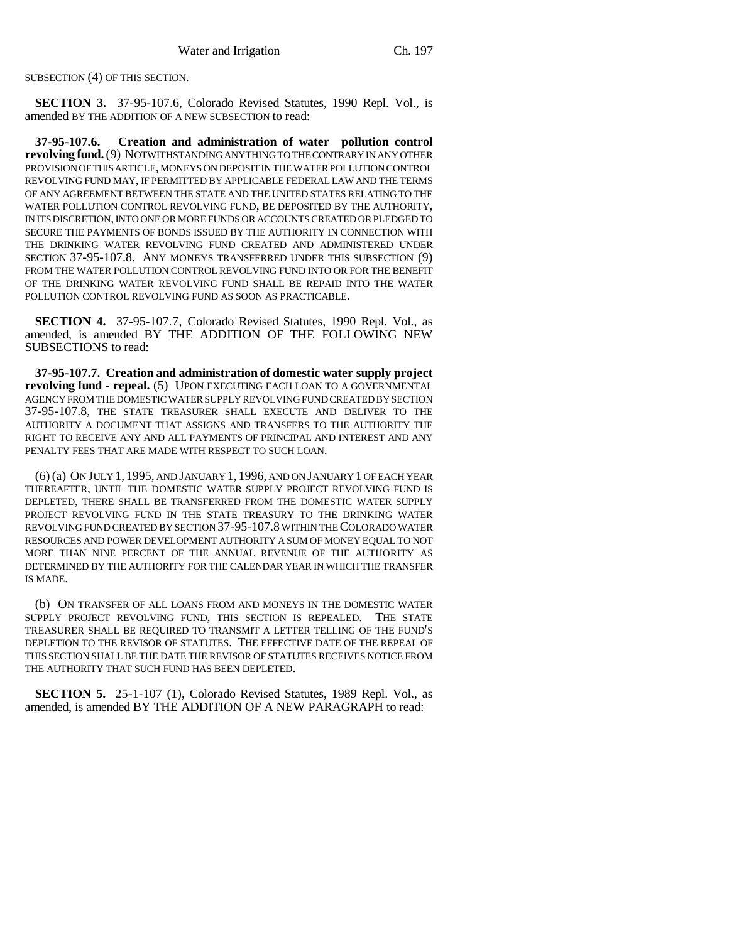SUBSECTION (4) OF THIS SECTION.

**SECTION 3.** 37-95-107.6, Colorado Revised Statutes, 1990 Repl. Vol., is amended BY THE ADDITION OF A NEW SUBSECTION to read:

**37-95-107.6. Creation and administration of water pollution control revolving fund.** (9) NOTWITHSTANDING ANYTHING TO THE CONTRARY IN ANY OTHER PROVISION OF THIS ARTICLE, MONEYS ON DEPOSIT IN THE WATER POLLUTION CONTROL REVOLVING FUND MAY, IF PERMITTED BY APPLICABLE FEDERAL LAW AND THE TERMS OF ANY AGREEMENT BETWEEN THE STATE AND THE UNITED STATES RELATING TO THE WATER POLLUTION CONTROL REVOLVING FUND, BE DEPOSITED BY THE AUTHORITY, IN ITS DISCRETION, INTO ONE OR MORE FUNDS OR ACCOUNTS CREATED OR PLEDGED TO SECURE THE PAYMENTS OF BONDS ISSUED BY THE AUTHORITY IN CONNECTION WITH THE DRINKING WATER REVOLVING FUND CREATED AND ADMINISTERED UNDER SECTION 37-95-107.8. ANY MONEYS TRANSFERRED UNDER THIS SUBSECTION (9) FROM THE WATER POLLUTION CONTROL REVOLVING FUND INTO OR FOR THE BENEFIT OF THE DRINKING WATER REVOLVING FUND SHALL BE REPAID INTO THE WATER POLLUTION CONTROL REVOLVING FUND AS SOON AS PRACTICABLE.

**SECTION 4.** 37-95-107.7, Colorado Revised Statutes, 1990 Repl. Vol., as amended, is amended BY THE ADDITION OF THE FOLLOWING NEW SUBSECTIONS to read:

**37-95-107.7. Creation and administration of domestic water supply project revolving fund - repeal.** (5) UPON EXECUTING EACH LOAN TO A GOVERNMENTAL AGENCY FROM THE DOMESTIC WATER SUPPLY REVOLVING FUND CREATED BY SECTION 37-95-107.8, THE STATE TREASURER SHALL EXECUTE AND DELIVER TO THE AUTHORITY A DOCUMENT THAT ASSIGNS AND TRANSFERS TO THE AUTHORITY THE RIGHT TO RECEIVE ANY AND ALL PAYMENTS OF PRINCIPAL AND INTEREST AND ANY PENALTY FEES THAT ARE MADE WITH RESPECT TO SUCH LOAN.

(6) (a) ON JULY 1, 1995, AND JANUARY 1, 1996, AND ON JANUARY 1 OF EACH YEAR THEREAFTER, UNTIL THE DOMESTIC WATER SUPPLY PROJECT REVOLVING FUND IS DEPLETED, THERE SHALL BE TRANSFERRED FROM THE DOMESTIC WATER SUPPLY PROJECT REVOLVING FUND IN THE STATE TREASURY TO THE DRINKING WATER REVOLVING FUND CREATED BY SECTION 37-95-107.8 WITHIN THE COLORADO WATER RESOURCES AND POWER DEVELOPMENT AUTHORITY A SUM OF MONEY EQUAL TO NOT MORE THAN NINE PERCENT OF THE ANNUAL REVENUE OF THE AUTHORITY AS DETERMINED BY THE AUTHORITY FOR THE CALENDAR YEAR IN WHICH THE TRANSFER IS MADE.

(b) ON TRANSFER OF ALL LOANS FROM AND MONEYS IN THE DOMESTIC WATER SUPPLY PROJECT REVOLVING FUND, THIS SECTION IS REPEALED. THE STATE TREASURER SHALL BE REQUIRED TO TRANSMIT A LETTER TELLING OF THE FUND'S DEPLETION TO THE REVISOR OF STATUTES. THE EFFECTIVE DATE OF THE REPEAL OF THIS SECTION SHALL BE THE DATE THE REVISOR OF STATUTES RECEIVES NOTICE FROM THE AUTHORITY THAT SUCH FUND HAS BEEN DEPLETED.

**SECTION 5.** 25-1-107 (1), Colorado Revised Statutes, 1989 Repl. Vol., as amended, is amended BY THE ADDITION OF A NEW PARAGRAPH to read: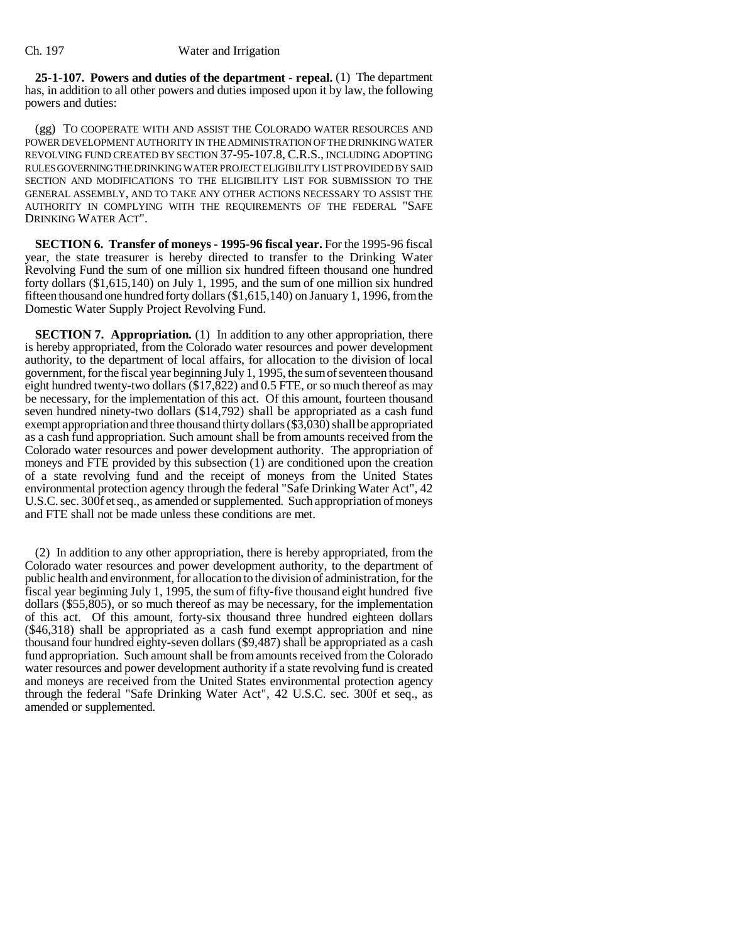**25-1-107. Powers and duties of the department - repeal.** (1) The department has, in addition to all other powers and duties imposed upon it by law, the following powers and duties:

(gg) TO COOPERATE WITH AND ASSIST THE COLORADO WATER RESOURCES AND POWER DEVELOPMENT AUTHORITY IN THE ADMINISTRATION OF THE DRINKING WATER REVOLVING FUND CREATED BY SECTION 37-95-107.8, C.R.S., INCLUDING ADOPTING RULES GOVERNING THE DRINKING WATER PROJECT ELIGIBILITY LIST PROVIDED BY SAID SECTION AND MODIFICATIONS TO THE ELIGIBILITY LIST FOR SUBMISSION TO THE GENERAL ASSEMBLY, AND TO TAKE ANY OTHER ACTIONS NECESSARY TO ASSIST THE AUTHORITY IN COMPLYING WITH THE REQUIREMENTS OF THE FEDERAL "SAFE DRINKING WATER ACT".

**SECTION 6. Transfer of moneys - 1995-96 fiscal year.** For the 1995-96 fiscal year, the state treasurer is hereby directed to transfer to the Drinking Water Revolving Fund the sum of one million six hundred fifteen thousand one hundred forty dollars (\$1,615,140) on July 1, 1995, and the sum of one million six hundred fifteen thousand one hundred forty dollars (\$1,615,140) on January 1, 1996, from the Domestic Water Supply Project Revolving Fund.

**SECTION 7. Appropriation.** (1) In addition to any other appropriation, there is hereby appropriated, from the Colorado water resources and power development authority, to the department of local affairs, for allocation to the division of local government, for the fiscal year beginning July 1, 1995, the sum of seventeen thousand eight hundred twenty-two dollars (\$17,822) and 0.5 FTE, or so much thereof as may be necessary, for the implementation of this act. Of this amount, fourteen thousand seven hundred ninety-two dollars (\$14,792) shall be appropriated as a cash fund exempt appropriation and three thousand thirty dollars (\$3,030) shall be appropriated as a cash fund appropriation. Such amount shall be from amounts received from the Colorado water resources and power development authority. The appropriation of moneys and FTE provided by this subsection (1) are conditioned upon the creation of a state revolving fund and the receipt of moneys from the United States environmental protection agency through the federal "Safe Drinking Water Act", 42 U.S.C. sec. 300f et seq., as amended or supplemented. Such appropriation of moneys and FTE shall not be made unless these conditions are met.

(2) In addition to any other appropriation, there is hereby appropriated, from the Colorado water resources and power development authority, to the department of public health and environment, for allocation to the division of administration, for the fiscal year beginning July 1, 1995, the sum of fifty-five thousand eight hundred five dollars (\$55,805), or so much thereof as may be necessary, for the implementation of this act. Of this amount, forty-six thousand three hundred eighteen dollars (\$46,318) shall be appropriated as a cash fund exempt appropriation and nine thousand four hundred eighty-seven dollars (\$9,487) shall be appropriated as a cash fund appropriation. Such amount shall be from amounts received from the Colorado water resources and power development authority if a state revolving fund is created and moneys are received from the United States environmental protection agency through the federal "Safe Drinking Water Act", 42 U.S.C. sec. 300f et seq., as amended or supplemented.